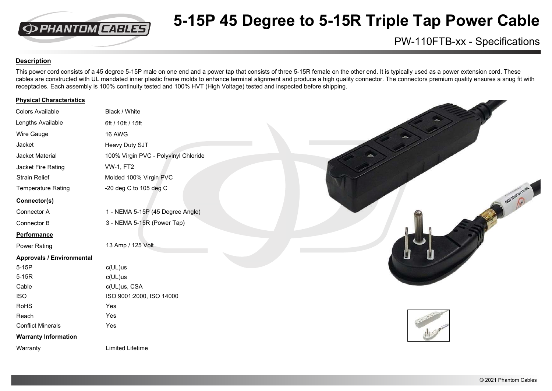

# **5-15P 45 Degree to 5-15R Triple Tap Power Cable**

### PW-110FTB-xx - Specifications

### **Description**

This power cord consists of a 45 degree 5-15P male on one end and a power tap that consists of three 5-15R female on the other end. It is typically used as a power extension cord. These cables are constructed with UL mandated inner plastic frame molds to enhance terminal alignment and produce a high quality connector. The connectors premium quality ensures a snug fit with receptacles. Each assembly is 100% continuity tested and 100% HVT (High Voltage) tested and inspected before shipping.

#### **Physical Characteristics**

| <b>Colors Available</b>          | Black / White                        |
|----------------------------------|--------------------------------------|
| Lengths Available                | 6ft / 10ft / 15ft                    |
| Wire Gauge                       | 16 AWG                               |
| Jacket                           | Heavy Duty SJT                       |
| Jacket Material                  | 100% Virgin PVC - Polyvinyl Chloride |
| Jacket Fire Rating               | <b>VW-1, FT2</b>                     |
| <b>Strain Relief</b>             | Molded 100% Virgin PVC               |
| <b>Temperature Rating</b>        | -20 deg C to 105 deg C               |
| Connector(s)                     |                                      |
| Connector A                      | 1 - NEMA 5-15P (45 Degree Angle)     |
| Connector B                      | 3 - NEMA 5-15R (Power Tap)           |
| <b>Performance</b>               |                                      |
| <b>Power Rating</b>              | 13 Amp / 125 Volt                    |
| <b>Approvals / Environmental</b> |                                      |
| 5-15P                            | c(UL)us                              |
| $5-15R$                          | $c(UL)$ us                           |
| Cable                            | c(UL)us, CSA                         |
| <b>ISO</b>                       | ISO 9001:2000, ISO 14000             |
| <b>RoHS</b>                      | Yes                                  |
| Reach                            | Yes                                  |
| <b>Conflict Minerals</b>         | Yes                                  |
| <b>Warranty Information</b>      |                                      |
| Warranty                         | <b>Limited Lifetime</b>              |
|                                  |                                      |

Manuscription of Manuscription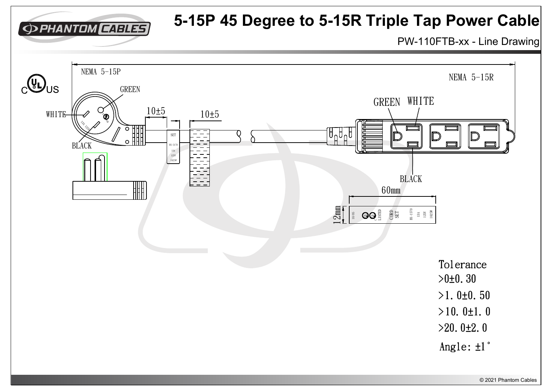

### **5-15P 45 Degree to 5-15R Triple Tap Power Cable**

PW-110FTB-xx - Line Drawing